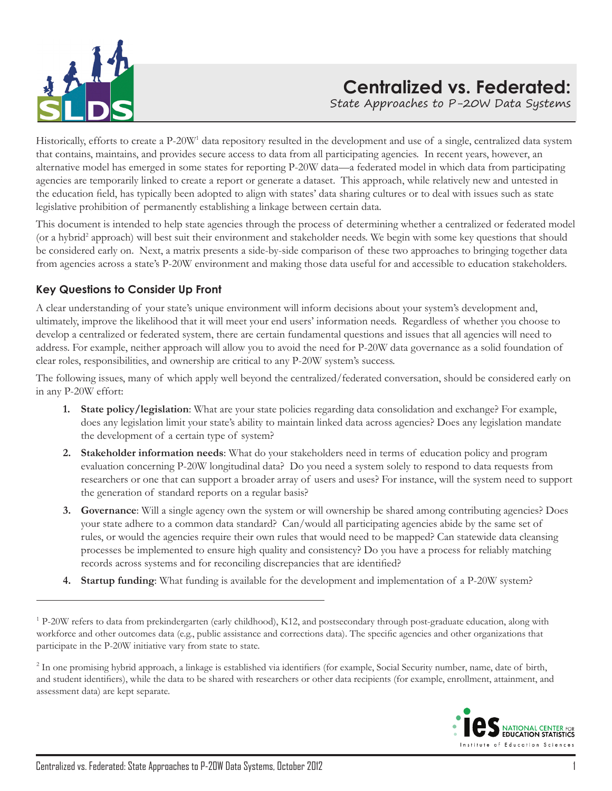

# **Centralized vs. Federated:**

State Approaches to P-20W Data Systems

Historically, efforts to create a P-20W<sup>1</sup> data repository resulted in the development and use of a single, centralized data system that contains, maintains, and provides secure access to data from all participating agencies. In recent years, however, an alternative model has emerged in some states for reporting P-20W data—a federated model in which data from participating agencies are temporarily linked to create a report or generate a dataset. This approach, while relatively new and untested in the education field, has typically been adopted to align with states' data sharing cultures or to deal with issues such as state legislative prohibition of permanently establishing a linkage between certain data.

This document is intended to help state agencies through the process of determining whether a centralized or federated model (or a hybrid<sup>2</sup> approach) will best suit their environment and stakeholder needs. We begin with some key questions that should be considered early on. Next, a matrix presents a side-by-side comparison of these two approaches to bringing together data from agencies across a state's P-20W environment and making those data useful for and accessible to education stakeholders.

# **Key Questions to Consider Up Front**

A clear understanding of your state's unique environment will inform decisions about your system's development and, ultimately, improve the likelihood that it will meet your end users' information needs. Regardless of whether you choose to develop a centralized or federated system, there are certain fundamental questions and issues that all agencies will need to address. For example, neither approach will allow you to avoid the need for P-20W data governance as a solid foundation of clear roles, responsibilities, and ownership are critical to any P-20W system's success.

The following issues, many of which apply well beyond the centralized/federated conversation, should be considered early on in any P-20W effort:

- **1. State policy/legislation**: What are your state policies regarding data consolidation and exchange? For example, does any legislation limit your state's ability to maintain linked data across agencies? Does any legislation mandate the development of a certain type of system?
- **2. Stakeholder information needs**: What do your stakeholders need in terms of education policy and program evaluation concerning P-20W longitudinal data? Do you need a system solely to respond to data requests from researchers or one that can support a broader array of users and uses? For instance, will the system need to support the generation of standard reports on a regular basis?
- **3. Governance**: Will a single agency own the system or will ownership be shared among contributing agencies? Does your state adhere to a common data standard? Can/would all participating agencies abide by the same set of rules, or would the agencies require their own rules that would need to be mapped? Can statewide data cleansing processes be implemented to ensure high quality and consistency? Do you have a process for reliably matching records across systems and for reconciling discrepancies that are identified?
- **4. Startup funding**: What funding is available for the development and implementation of a P-20W system?

<sup>2</sup> In one promising hybrid approach, a linkage is established via identifiers (for example, Social Security number, name, date of birth, and student identifiers), while the data to be shared with researchers or other data recipients (for example, enrollment, attainment, and assessment data) are kept separate.



 $1$  P-20W refers to data from prekindergarten (early childhood), K12, and postsecondary through post-graduate education, along with workforce and other outcomes data (e.g., public assistance and corrections data). The specific agencies and other organizations that participate in the P-20W initiative vary from state to state.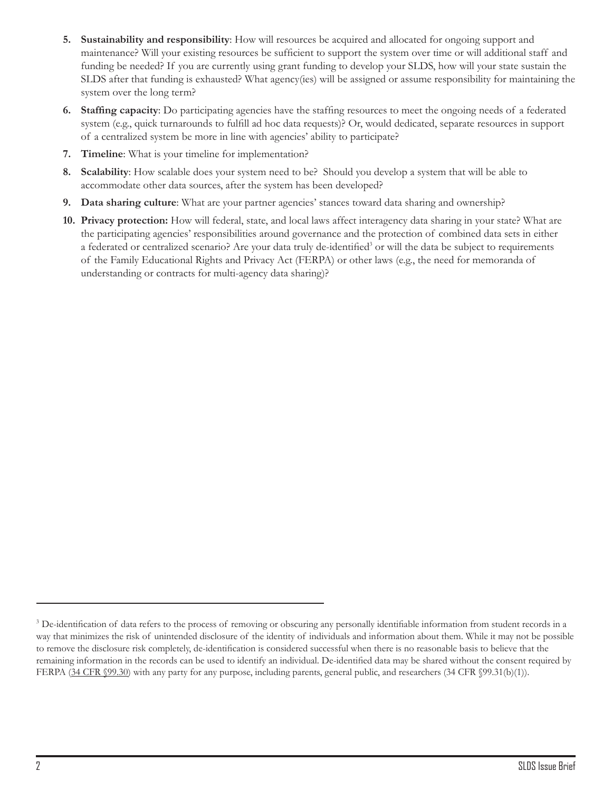- **5. Sustainability and responsibility**: How will resources be acquired and allocated for ongoing support and maintenance? Will your existing resources be sufficient to support the system over time or will additional staff and funding be needed? If you are currently using grant funding to develop your SLDS, how will your state sustain the SLDS after that funding is exhausted? What agency(ies) will be assigned or assume responsibility for maintaining the system over the long term?
- **6. Staffing capacity**: Do participating agencies have the staffing resources to meet the ongoing needs of a federated system (e.g., quick turnarounds to fulfill ad hoc data requests)? Or, would dedicated, separate resources in support of a centralized system be more in line with agencies' ability to participate?
- **7. Timeline**: What is your timeline for implementation?
- **8. Scalability**: How scalable does your system need to be? Should you develop a system that will be able to accommodate other data sources, after the system has been developed?
- **9. Data sharing culture**: What are your partner agencies' stances toward data sharing and ownership?
- **10. Privacy protection:** How will federal, state, and local laws affect interagency data sharing in your state? What are the participating agencies' responsibilities around governance and the protection of combined data sets in either a federated or centralized scenario? Are your data truly de-identified<sup>3</sup> or will the data be subject to requirements of the Family Educational Rights and Privacy Act (FERPA) or other laws (e.g., the need for memoranda of understanding or contracts for multi-agency data sharing)?

<sup>&</sup>lt;sup>3</sup> De-identification of data refers to the process of removing or obscuring any personally identifiable information from student records in a way that minimizes the risk of unintended disclosure of the identity of individuals and information about them. While it may not be possible to remove the disclosure risk completely, de-identification is considered successful when there is no reasonable basis to believe that the remaining information in the records can be used to identify an individual. De-identified data may be shared without the consent required by FERPA (34 CFR §99.30) with any party for any purpose, including parents, general public, and researchers (34 CFR §99.31(b)(1)).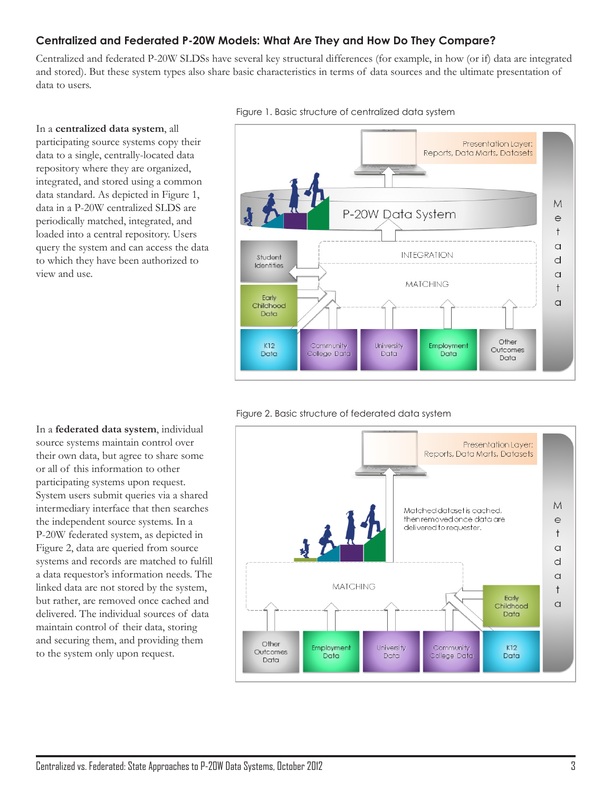# **Centralized and Federated P-20W Models: What Are They and How Do They Compare?**

Centralized and federated P-20W SLDSs have several key structural differences (for example, in how (or if) data are integrated and stored). But these system types also share basic characteristics in terms of data sources and the ultimate presentation of data to users.



#### In a **centralized data system**, all participating source systems copy their data to a single, centrally-located data repository where they are organized, integrated, and stored using a common data standard. As depicted in Figure 1, data in a P-20W centralized SLDS are periodically matched, integrated, and loaded into a central repository. Users query the system and can access the data to which they have been authorized to

view and use.





In a **federated data system**, individual source systems maintain control over their own data, but agree to share some or all of this information to other participating systems upon request. System users submit queries via a shared intermediary interface that then searches the independent source systems. In a P-20W federated system, as depicted in Figure 2, data are queried from source systems and records are matched to fulfill a data requestor's information needs. The linked data are not stored by the system, but rather, are removed once cached and delivered. The individual sources of data maintain control of their data, storing and securing them, and providing them to the system only upon request.

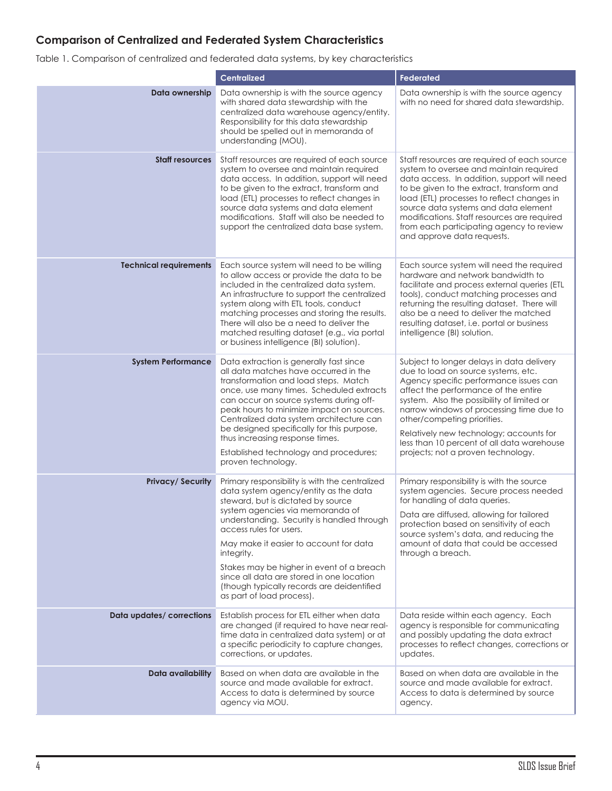# **Comparison of Centralized and Federated System Characteristics**

Table 1. Comparison of centralized and federated data systems, by key characteristics

|                               | <b>Centralized</b>                                                                                                                                                                                                                                                                                                                                                                                                                                                      | <b>Federated</b>                                                                                                                                                                                                                                                                                                                                                                                                           |  |
|-------------------------------|-------------------------------------------------------------------------------------------------------------------------------------------------------------------------------------------------------------------------------------------------------------------------------------------------------------------------------------------------------------------------------------------------------------------------------------------------------------------------|----------------------------------------------------------------------------------------------------------------------------------------------------------------------------------------------------------------------------------------------------------------------------------------------------------------------------------------------------------------------------------------------------------------------------|--|
| Data ownership                | Data ownership is with the source agency<br>with shared data stewardship with the<br>centralized data warehouse agency/entity.<br>Responsibility for this data stewardship<br>should be spelled out in memoranda of<br>understanding (MOU).                                                                                                                                                                                                                             | Data ownership is with the source agency<br>with no need for shared data stewardship.                                                                                                                                                                                                                                                                                                                                      |  |
| <b>Staff resources</b>        | Staff resources are required of each source<br>system to oversee and maintain required<br>data access. In addition, support will need<br>to be given to the extract, transform and<br>load (ETL) processes to reflect changes in<br>source data systems and data element<br>modifications. Staff will also be needed to<br>support the centralized data base system.                                                                                                    | Staff resources are required of each source<br>system to oversee and maintain required<br>data access. In addition, support will need<br>to be given to the extract, transform and<br>load (ETL) processes to reflect changes in<br>source data systems and data element<br>modifications. Staff resources are required<br>from each participating agency to review<br>and approve data requests.                          |  |
| <b>Technical requirements</b> | Each source system will need to be willing<br>to allow access or provide the data to be<br>included in the centralized data system.<br>An infrastructure to support the centralized<br>system along with ETL tools, conduct<br>matching processes and storing the results.<br>There will also be a need to deliver the<br>matched resulting dataset (e.g., via portal<br>or business intelligence (BI) solution).                                                       | Each source system will need the required<br>hardware and network bandwidth to<br>facilitate and process external queries (ETL<br>tools), conduct matching processes and<br>returning the resulting dataset. There will<br>also be a need to deliver the matched<br>resulting dataset, i.e. portal or business<br>intelligence (BI) solution.                                                                              |  |
| <b>System Performance</b>     | Data extraction is generally fast since<br>all data matches have occurred in the<br>transformation and load steps. Match<br>once, use many times. Scheduled extracts<br>can occur on source systems during off-<br>peak hours to minimize impact on sources.<br>Centralized data system architecture can<br>be designed specifically for this purpose,<br>thus increasing response times.<br>Established technology and procedures;<br>proven technology.               | Subject to longer delays in data delivery<br>due to load on source systems, etc.<br>Agency specific performance issues can<br>affect the performance of the entire<br>system. Also the possibility of limited or<br>narrow windows of processing time due to<br>other/competing priorities.<br>Relatively new technology; accounts for<br>less than 10 percent of all data warehouse<br>projects; not a proven technology. |  |
| <b>Privacy/Security</b>       | Primary responsibility is with the centralized<br>data system agency/entity as the data<br>steward, but is dictated by source<br>system agencies via memoranda of<br>understanding. Security is handled through<br>access rules for users.<br>May make it easier to account for data<br>integrity.<br>Stakes may be higher in event of a breach<br>since all data are stored in one location<br>(though typically records are deidentified<br>as part of load process). | Primary responsibility is with the source<br>system agencies. Secure process needed<br>for handling of data queries.<br>Data are diffused, allowing for tailored<br>protection based on sensitivity of each<br>source system's data, and reducing the<br>amount of data that could be accessed<br>through a breach.                                                                                                        |  |
| Data updates/ corrections     | Establish process for ETL either when data<br>are changed (if required to have near real-<br>time data in centralized data system) or at<br>a specific periodicity to capture changes,<br>corrections, or updates.                                                                                                                                                                                                                                                      | Data reside within each agency. Each<br>agency is responsible for communicating<br>and possibly updating the data extract<br>processes to reflect changes, corrections or<br>updates.                                                                                                                                                                                                                                      |  |
| Data availability             | Based on when data are available in the<br>source and made available for extract.<br>Access to data is determined by source<br>agency via MOU.                                                                                                                                                                                                                                                                                                                          | Based on when data are available in the<br>source and made available for extract.<br>Access to data is determined by source<br>agency.                                                                                                                                                                                                                                                                                     |  |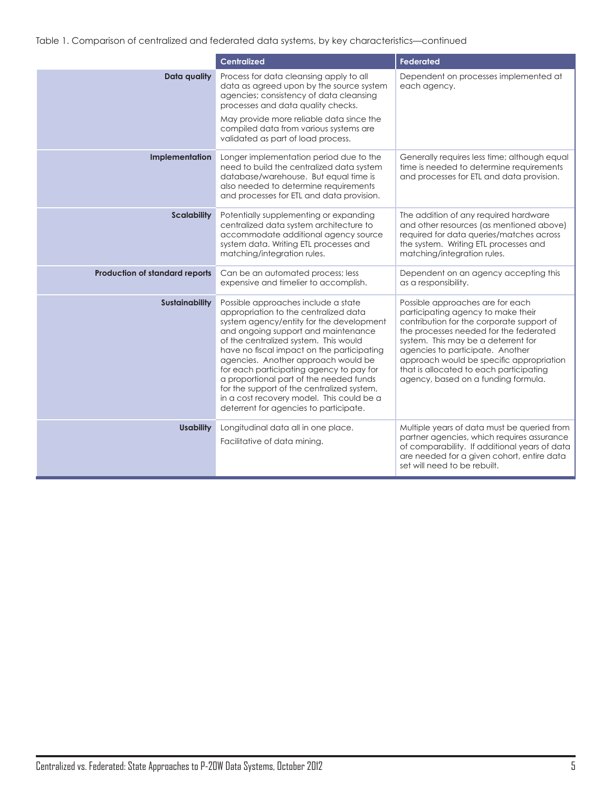Table 1. Comparison of centralized and federated data systems, by key characteristics—continued

|                                | <b>Centralized</b>                                                                                                                                                                                                                                                                                                                                                                                                                                                                                                        | <b>Federated</b>                                                                                                                                                                                                                                                                                                                                                       |  |
|--------------------------------|---------------------------------------------------------------------------------------------------------------------------------------------------------------------------------------------------------------------------------------------------------------------------------------------------------------------------------------------------------------------------------------------------------------------------------------------------------------------------------------------------------------------------|------------------------------------------------------------------------------------------------------------------------------------------------------------------------------------------------------------------------------------------------------------------------------------------------------------------------------------------------------------------------|--|
| Data quality                   | Process for data cleansing apply to all<br>data as agreed upon by the source system<br>agencies; consistency of data cleansing<br>processes and data quality checks.<br>May provide more reliable data since the                                                                                                                                                                                                                                                                                                          | Dependent on processes implemented at<br>each agency.                                                                                                                                                                                                                                                                                                                  |  |
|                                | compiled data from various systems are<br>validated as part of load process.                                                                                                                                                                                                                                                                                                                                                                                                                                              |                                                                                                                                                                                                                                                                                                                                                                        |  |
| Implementation                 | Longer implementation period due to the<br>Generally requires less time; although equal<br>need to build the centralized data system<br>time is needed to determine requirements<br>database/warehouse. But equal time is<br>and processes for ETL and data provision.<br>also needed to determine requirements<br>and processes for ETL and data provision.                                                                                                                                                              |                                                                                                                                                                                                                                                                                                                                                                        |  |
| <b>Scalability</b>             | Potentially supplementing or expanding<br>centralized data system architecture to<br>accommodate additional agency source<br>system data. Writing ETL processes and<br>matching/integration rules.                                                                                                                                                                                                                                                                                                                        | The addition of any required hardware<br>and other resources (as mentioned above)<br>required for data queries/matches across<br>the system. Writing ETL processes and<br>matching/integration rules.                                                                                                                                                                  |  |
| Production of standard reports | Can be an automated process; less<br>expensive and timelier to accomplish.                                                                                                                                                                                                                                                                                                                                                                                                                                                | Dependent on an agency accepting this<br>as a responsibility.                                                                                                                                                                                                                                                                                                          |  |
| <b>Sustainability</b>          | Possible approaches include a state<br>appropriation to the centralized data<br>system agency/entity for the development<br>and ongoing support and maintenance<br>of the centralized system. This would<br>have no fiscal impact on the participating<br>agencies. Another approach would be<br>for each participating agency to pay for<br>a proportional part of the needed funds<br>for the support of the centralized system,<br>in a cost recovery model. This could be a<br>deterrent for agencies to participate. | Possible approaches are for each<br>participating agency to make their<br>contribution for the corporate support of<br>the processes needed for the federated<br>system. This may be a deterrent for<br>agencies to participate. Another<br>approach would be specific appropriation<br>that is allocated to each participating<br>agency, based on a funding formula. |  |
| <b>Usability</b>               | Longitudinal data all in one place.<br>Facilitative of data mining.                                                                                                                                                                                                                                                                                                                                                                                                                                                       | Multiple years of data must be queried from<br>partner agencies, which requires assurance<br>of comparability. If additional years of data<br>are needed for a given cohort, entire data<br>set will need to be rebuilt.                                                                                                                                               |  |